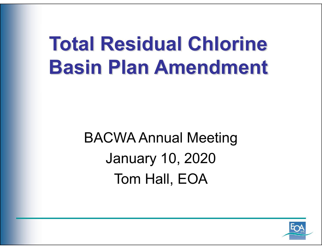### **Total Residual ChlorineBasin Plan Amendment**

BACWA Annual Meeting January 10, 2020 Tom Hall, EOA

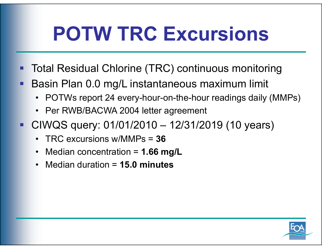## **POTW TRC Excursions**

- er<br>19 Total Residual Chlorine (TRC) continuous monitoring
- П Basin Plan 0.0 mg/L instantaneous maximum limit
	- POTWs report 24 every-hour-on-the-hour readings daily (MMPs)
	- Per RWB/BACWA 2004 letter agreement
- CIWQS query: 01/01/2010 12/31/2019 (10 years)
	- $\bullet$ TRC excursions w/MMPs = **36**
	- $\bullet$ Median concentration = **1.66 mg/L**
	- •Median duration = **15.0 minutes**

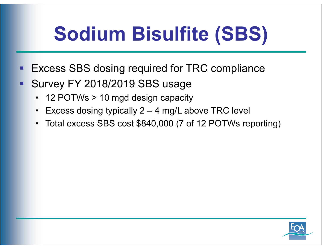# **Sodium Bisulfite (SBS)**

- er<br>19 Excess SBS dosing required for TRC compliance
- П Survey FY 2018/2019 SBS usage
	- $\bullet$ 12 POTWs > 10 mgd design capacity
	- •Excess dosing typically 2 – 4 mg/L above TRC level
	- •Total excess SBS cost \$840,000 (7 of 12 POTWs reporting)

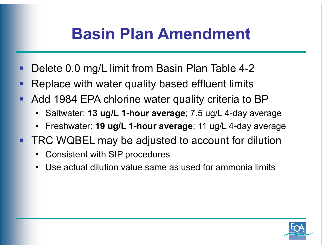#### **Basin Plan Amendment**

- п Delete 0.0 mg/L limit from Basin Plan Table 4-2
- п Replace with water quality based effluent limits
- **STATE OF STATE OF STATE OF STATE OF STATE OF STATE OF STATE OF STATE OF STATE OF STATE OF STATE OF STATE**  Add 1984 EPA chlorine water quality criteria to BP
	- •Saltwater: **13 ug/L 1-hour average**; 7.5 ug/L 4-day average
	- $\bullet$ Freshwater: **19 ug/L 1-hour average**; 11 ug/L 4-day average
- $\blacksquare$  TRC WQBEL may be adjusted to account for dilution
	- $\bullet$ Consistent with SIP procedures
	- •Use actual dilution value same as used for ammonia limits

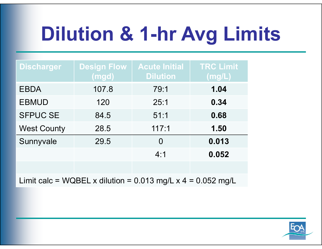# **Dilution & 1-hr Avg Limits**

| <b>Discharger</b>  | <b>Design Flow</b> | <b>Acute Initial</b> | <b>TRC Limit</b>        |
|--------------------|--------------------|----------------------|-------------------------|
|                    | (mgd)              | <b>Dilution</b>      | $\overline{\sf (mg/L)}$ |
| <b>EBDA</b>        | 107.8              | 79:1                 | 1.04                    |
| <b>EBMUD</b>       | 120                | 25:1                 | 0.34                    |
| <b>SFPUC SE</b>    | 84.5               | 51:1                 | 0.68                    |
| <b>West County</b> | 28.5               | 117:1                | 1.50                    |
| Sunnyvale          | 29.5               | $\Omega$             | 0.013                   |
|                    |                    | 4:1                  | 0.052                   |
|                    |                    |                      |                         |

Limit calc = WQBEL x dilution =  $0.013$  mg/L x 4 =  $0.052$  mg/L

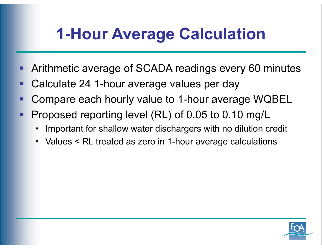#### **1-Hour Average Calculation**

- er<br>19 Arithmetic average of SCADA readings every 60 minutes
- er<br>19 Calculate 24 1-hour average values per day
- **STATE OF STATE OF STATE OF STATE OF STATE OF STATE OF STATE OF STATE OF STATE OF STATE OF STATE OF STATE** Compare each hourly value to 1-hour average WQBEL
- er<br>19 Proposed reporting level (RL) of 0.05 to 0.10 mg/L
	- •Important for shallow water dischargers with no dilution credit
	- •Values < RL treated as zero in 1-hour average calculations